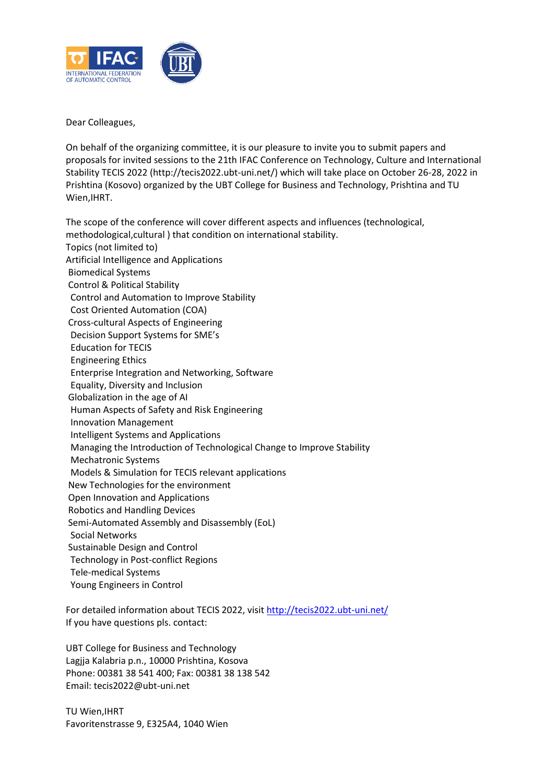

Dear Colleagues,

On behalf of the organizing committee, it is our pleasure to invite you to submit papers and proposals for invited sessions to the 21th IFAC Conference on Technology, Culture and International Stability TECIS 2022 (http://tecis2022.ubt-uni.net/) which will take place on October 26-28, 2022 in Prishtina (Kosovo) organized by the UBT College for Business and Technology, Prishtina and TU Wien,IHRT.

The scope of the conference will cover different aspects and influences (technological, methodological,cultural ) that condition on international stability. Topics (not limited to) Artificial Intelligence and Applications Biomedical Systems Control & Political Stability Control and Automation to Improve Stability Cost Oriented Automation (COA) Cross-cultural Aspects of Engineering Decision Support Systems for SME's Education for TECIS Engineering Ethics Enterprise Integration and Networking, Software Equality, Diversity and Inclusion Globalization in the age of AI Human Aspects of Safety and Risk Engineering Innovation Management Intelligent Systems and Applications Managing the Introduction of Technological Change to Improve Stability Mechatronic Systems Models & Simulation for TECIS relevant applications New Technologies for the environment Open Innovation and Applications Robotics and Handling Devices Semi-Automated Assembly and Disassembly (EoL) Social Networks Sustainable Design and Control Technology in Post-conflict Regions Tele-medical Systems Young Engineers in Control

For detailed information about TECIS 2022, visi[t http://tecis2022.ubt-uni.net/](http://tecis2022.ubt-uni.net/) If you have questions pls. contact:

UBT College for Business and Technology Lagjja Kalabria p.n., 10000 Prishtina, Kosova Phone: 00381 38 541 400; Fax: 00381 38 138 542 Email: tecis2022@ubt-uni.net

TU Wien,IHRT Favoritenstrasse 9, E325A4, 1040 Wien